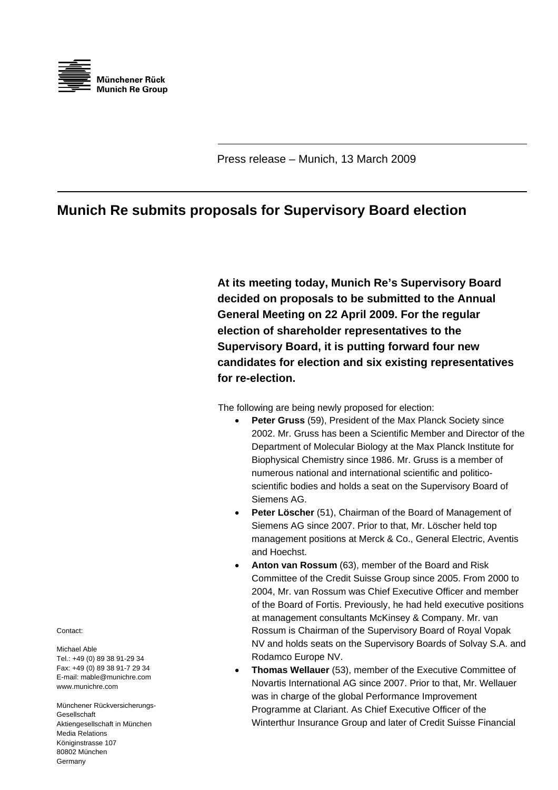

Press release – Munich, 13 March 2009

## **Munich Re submits proposals for Supervisory Board election**

**At its meeting today, Munich Re's Supervisory Board decided on proposals to be submitted to the Annual General Meeting on 22 April 2009. For the regular election of shareholder representatives to the Supervisory Board, it is putting forward four new candidates for election and six existing representatives for re-election.** 

The following are being newly proposed for election:

- **Peter Gruss** (59), President of the Max Planck Society since 2002. Mr. Gruss has been a Scientific Member and Director of t he Department of Molecular Biology at the Max Planck Institute for Biophysical Chemistry since 1986. Mr. Gruss is a member of numerous national and international scientific and politicoscientific bodies and holds a seat on the Supervisory Board of Siemens AG.
- Peter Löscher (51), Chairman of the Board of Management of Siemens AG since 2007. Prior to that, Mr. Löscher held top management positions at Merck & Co., General Electric, Aventis and Hoechst.
- NV and holds seats on the Supervisory Boards of Solvay S.A. and • **Anton van Rossum** (63), member of the Board and Risk Committee of the Credit Suisse Group since 2005. From 2000 to 2004, Mr. van Rossum was Chief Executive Officer and member of the Board of Fortis. Previously, he had held executive positions at management consultants McKinsey & Company. Mr. van Rossum is Chairman of the Supervisory Board of Royal Vopak Rodamco Europe NV.
- Programme at Clariant. As Chief Executive Officer of the Winterthur Insurance Group and later of Credit Suisse Financial • **Thomas Wellauer** (53), member of the Executive Committee of Novartis International AG since 2007. Prior to that, Mr. Wellauer was in charge of the global Performance Improvement

Contact:

Michael Able Tel.: +49 (0) 89 38 91-29 34 Fax: +49 (0) 89 38 91-7 29 34 E-mail: mable@munichre.com www.munichre.com

Münchener Rückversicherungs-Gesellschaft Aktiengesellschaft in München Media Relations Königinstrasse 107 80802 München Germany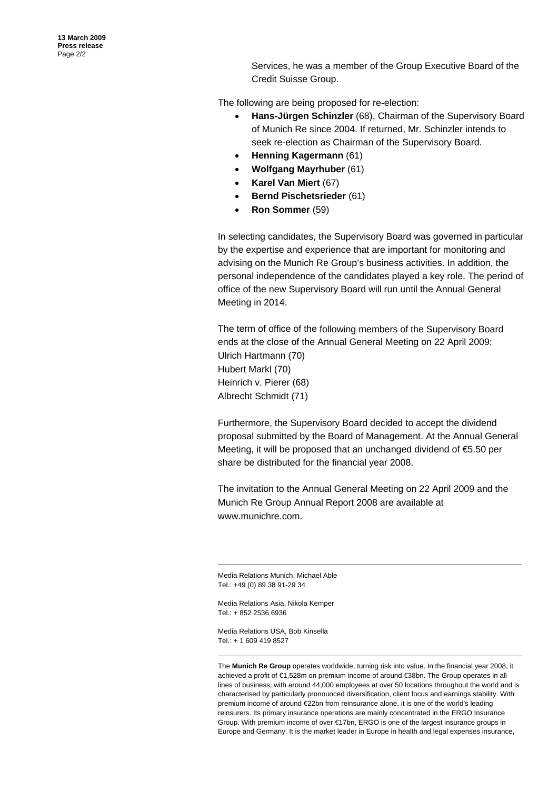Services, he was a member of the Group Executive Board of the Credit Suisse Group.

The following are being proposed for re-election:

- Hans-Jürgen Schinzler (68), Chairman of the Supervisory Board of Munich Re since 2004. If returned, Mr. Schinzler intends to seek re-election as Chairman of the Supervisory Board.
- **n Henning Kagerman** (61)
- **Wolfgang Mayrhuber** (61) •
- **Karel Van Miert** (67)
- **Bernd Pischetsrieder** (61)
- **Ron Sommer** (59)

In selecting candidates, the Supervisory Board was governed in particular by the expertise and experience that are important for monitoring and advising on the Munich Re Group's business activities. In addition, the personal independence of the candidates played a key role. The period of office of the new Supervisory Board will run until the Annual General Meeting in 2014.

The term of office of the following members of the Supervisory Board ends at the close of the Annual General Meeting on 22 April 2009: Ulrich Hartmann (70) Hubert Markl (70) Heinrich v. Pierer (68) Albrecht Schmidt (71)

Furthermore, the Supervisory Board decided to accept the dividend proposal submitted by the Board of Management. At the Annual General Meeting, it will be proposed that an unchanged dividend of  $65.50$  per share be distributed for the financial year 2008.

The invitation to the Annual General Meeting on 22 April 2009 and the Munich Re Group Annual Report 2008 are available at www.munichre.com.

Media Relations Munich, Michael Ab le Tel.: +49 (0) 89 38 91-29 34

Media Relations Asia, Nikola Kemper Tel.: + 852 2536 6936

Media Relations USA, Bob Kinsella Tel.: + 1 609 419 8527

The **Munich Re Group** operates worldwide, turning risk into value. In the financial year 2008, i t achieved a profit of €1,528m on premium income of around €38bn. The Group operates in all lines of business, with around 44,000 employees at over 50 locations throughout the world and is characterised by particularly pronounced diversification, client focus and earnings stability. With premium income of around €22bn from reinsurance alone, it is one of the world's leading reinsurers. Its primary insurance operations are mainly concentrated in the ERGO Insurance Group. W ith premium income of over €17bn, ERGO is one of the largest insurance groups in Europe and Germany. It is the market leader in Europe in health and legal expenses insurance,